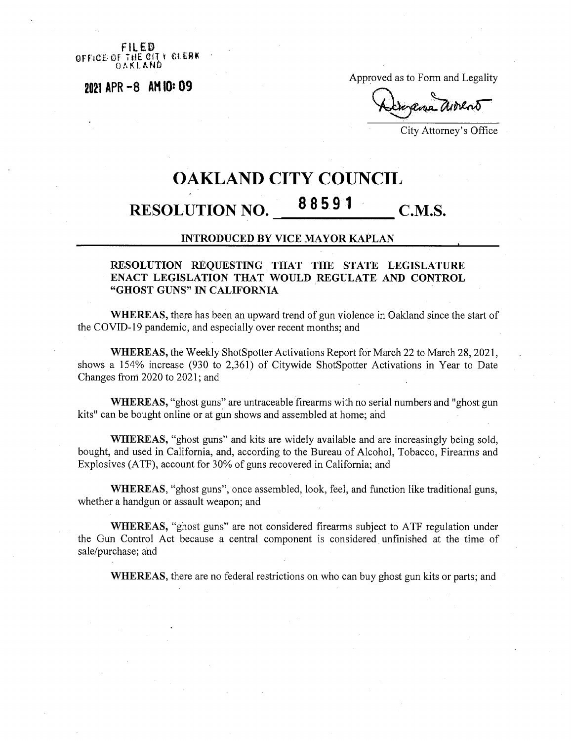$F \cup F \mathbb{R}$ **OFFICE OF THE CITY CLERK** 

**<sup>2021</sup> APR -8 AM 10\*09 >-v**

Approved as to Form and Legality

City Attorney's Office

## **OAKLAND CITY COUNCIL RESOLUTION NO.**  $88591$  **C.M.S.**

## INTRODUCED BY VICE MAYOR KAPLAN

## RESOLUTION REQUESTING THAT THE STATE LEGISLATURE ENACT LEGISLATION THAT WOULD REGULATE AND CONTROL "GHOST GUNS" IN CALIFORNIA

WHEREAS, there has been an upward trend of gun violence in Oakland since the start of the COVID-19 pandemic, and especially over recent months; and

WHEREAS, the Weekly ShotSpotter Activations Report for March 22 to March 28, 2021, shows a 154% increase (930 to 2,361) of Citywide ShotSpotter Activations in Year to Date Changes from 2020 to 2021; and

WHEREAS, "ghost guns" are untraceable firearms with no serial numbers and "ghost gun kits" can be bought online or at gun shows and assembled at home; and

WHEREAS, "ghost guns" and kits are widely available and are increasingly being sold, bought, and used in California, and, according to the Bureau of Alcohol, Tobacco, Firearms and Explosives (ATF), account for 30% of guns recovered in California; and

WHEREAS, "ghost guns", once assembled, look, feel, and function like traditional guns, whether a handgun or assault weapon; and

WHEREAS, "ghost guns" are not considered firearms subject to ATF regulation under the Gun Control Act because a central component is considered. unfinished at the time of sale/purchase; and

WHEREAS, there are no federal restrictions on who can buy ghost gun kits or parts; and